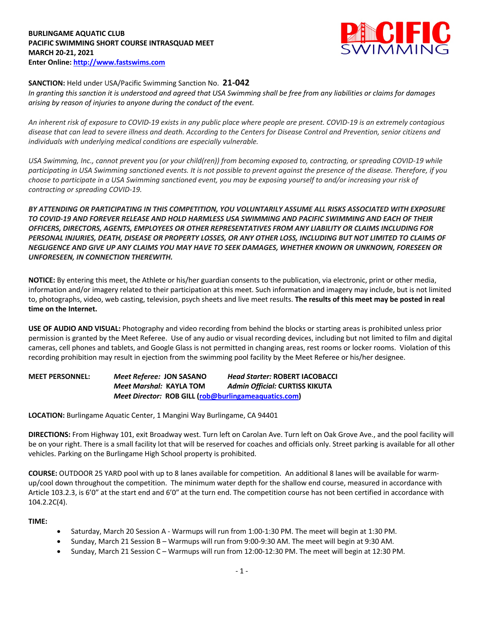### **BURLINGAME AQUATIC CLUB PACIFIC SWIMMING SHORT COURSE INTRASQUAD MEET MARCH 20-21, 2021 Enter Online: http://www.fastswims.com**



## **SANCTION:** Held under USA/Pacific Swimming Sanction No. **21-042**

*In granting this sanction it is understood and agreed that USA Swimming shall be free from any liabilities or claims for damages arising by reason of injuries to anyone during the conduct of the event.* 

*An inherent risk of exposure to COVID-19 exists in any public place where people are present. COVID-19 is an extremely contagious disease that can lead to severe illness and death. According to the Centers for Disease Control and Prevention, senior citizens and individuals with underlying medical conditions are especially vulnerable.*

*USA Swimming, Inc., cannot prevent you (or your child(ren)) from becoming exposed to, contracting, or spreading COVID-19 while participating in USA Swimming sanctioned events. It is not possible to prevent against the presence of the disease. Therefore, if you choose to participate in a USA Swimming sanctioned event, you may be exposing yourself to and/or increasing your risk of contracting or spreading COVID-19.*

*BY ATTENDING OR PARTICIPATING IN THIS COMPETITION, YOU VOLUNTARILY ASSUME ALL RISKS ASSOCIATED WITH EXPOSURE TO COVID-19 AND FOREVER RELEASE AND HOLD HARMLESS USA SWIMMING AND PACIFIC SWIMMING AND EACH OF THEIR OFFICERS, DIRECTORS, AGENTS, EMPLOYEES OR OTHER REPRESENTATIVES FROM ANY LIABILITY OR CLAIMS INCLUDING FOR PERSONAL INJURIES, DEATH, DISEASE OR PROPERTY LOSSES, OR ANY OTHER LOSS, INCLUDING BUT NOT LIMITED TO CLAIMS OF NEGLIGENCE AND GIVE UP ANY CLAIMS YOU MAY HAVE TO SEEK DAMAGES, WHETHER KNOWN OR UNKNOWN, FORESEEN OR UNFORESEEN, IN CONNECTION THEREWITH.*

**NOTICE:** By entering this meet, the Athlete or his/her guardian consents to the publication, via electronic, print or other media, information and/or imagery related to their participation at this meet. Such information and imagery may include, but is not limited to, photographs, video, web casting, television, psych sheets and live meet results. **The results of this meet may be posted in real time on the Internet.**

**USE OF AUDIO AND VISUAL:** Photography and video recording from behind the blocks or starting areas is prohibited unless prior permission is granted by the Meet Referee. Use of any audio or visual recording devices, including but not limited to film and digital cameras, cell phones and tablets, and Google Glass is not permitted in changing areas, rest rooms or locker rooms. Violation of this recording prohibition may result in ejection from the swimming pool facility by the Meet Referee or his/her designee.

**MEET PERSONNEL:** *Meet Referee:* **JON SASANO** *Head Starter:* **ROBERT IACOBACCI** *Meet Marshal:* **KAYLA TOM** *Admin Official:* **CURTISS KIKUTA** *Meet Director:* **ROB GILL (rob@burlingameaquatics.com)**

**LOCATION:** Burlingame Aquatic Center, 1 Mangini Way Burlingame, CA 94401

**DIRECTIONS:** From Highway 101, exit Broadway west. Turn left on Carolan Ave. Turn left on Oak Grove Ave., and the pool facility will be on your right. There is a small facility lot that will be reserved for coaches and officials only. Street parking is available for all other vehicles. Parking on the Burlingame High School property is prohibited.

**COURSE:** OUTDOOR 25 YARD pool with up to 8 lanes available for competition. An additional 8 lanes will be available for warmup/cool down throughout the competition. The minimum water depth for the shallow end course, measured in accordance with Article 103.2.3, is 6'0" at the start end and 6'0" at the turn end. The competition course has not been certified in accordance with 104.2.2C(4).

### **TIME:**

- Saturday, March 20 Session A Warmups will run from 1:00-1:30 PM. The meet will begin at 1:30 PM.
- Sunday, March 21 Session B Warmups will run from 9:00-9:30 AM. The meet will begin at 9:30 AM.
- Sunday, March 21 Session C Warmups will run from 12:00-12:30 PM. The meet will begin at 12:30 PM.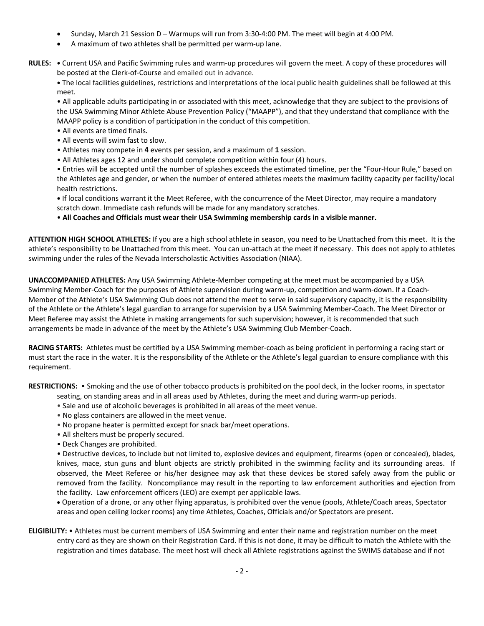- Sunday, March 21 Session D Warmups will run from 3:30-4:00 PM. The meet will begin at 4:00 PM.
- A maximum of two athletes shall be permitted per warm-up lane.
- **RULES: •** Current USA and Pacific Swimming rules and warm-up procedures will govern the meet. A copy of these procedures will be posted at the Clerk-of-Course and emailed out in advance.

**•** The local facilities guidelines, restrictions and interpretations of the local public health guidelines shall be followed at this meet.

• All applicable adults participating in or associated with this meet, acknowledge that they are subject to the provisions of the USA Swimming Minor Athlete Abuse Prevention Policy ("MAAPP"), and that they understand that compliance with the MAAPP policy is a condition of participation in the conduct of this competition.

- All events are timed finals.
- All events will swim fast to slow.
- Athletes may compete in **4** events per session, and a maximum of **1** session.
- All Athletes ages 12 and under should complete competition within four (4) hours.

• Entries will be accepted until the number of splashes exceeds the estimated timeline, per the "Four-Hour Rule," based on the Athletes age and gender, or when the number of entered athletes meets the maximum facility capacity per facility/local health restrictions.

**•** If local conditions warrant it the Meet Referee, with the concurrence of the Meet Director, may require a mandatory scratch down. Immediate cash refunds will be made for any mandatory scratches.

• **All Coaches and Officials must wear their USA Swimming membership cards in a visible manner.** 

**ATTENTION HIGH SCHOOL ATHLETES:** If you are a high school athlete in season, you need to be Unattached from this meet. It is the athlete's responsibility to be Unattached from this meet. You can un-attach at the meet if necessary. This does not apply to athletes swimming under the rules of the Nevada Interscholastic Activities Association (NIAA).

**UNACCOMPANIED ATHLETES:** Any USA Swimming Athlete-Member competing at the meet must be accompanied by a USA Swimming Member-Coach for the purposes of Athlete supervision during warm-up, competition and warm-down. If a Coach-Member of the Athlete's USA Swimming Club does not attend the meet to serve in said supervisory capacity, it is the responsibility of the Athlete or the Athlete's legal guardian to arrange for supervision by a USA Swimming Member-Coach. The Meet Director or Meet Referee may assist the Athlete in making arrangements for such supervision; however, it is recommended that such arrangements be made in advance of the meet by the Athlete's USA Swimming Club Member-Coach.

**RACING STARTS:** Athletes must be certified by a USA Swimming member-coach as being proficient in performing a racing start or must start the race in the water. It is the responsibility of the Athlete or the Athlete's legal guardian to ensure compliance with this requirement.

**RESTRICTIONS:** • Smoking and the use of other tobacco products is prohibited on the pool deck, in the locker rooms, in spectator

- seating, on standing areas and in all areas used by Athletes, during the meet and during warm-up periods.
- Sale and use of alcoholic beverages is prohibited in all areas of the meet venue.
- No glass containers are allowed in the meet venue.
- No propane heater is permitted except for snack bar/meet operations.
- All shelters must be properly secured.
- Deck Changes are prohibited.

• Destructive devices, to include but not limited to, explosive devices and equipment, firearms (open or concealed), blades, knives, mace, stun guns and blunt objects are strictly prohibited in the swimming facility and its surrounding areas. If observed, the Meet Referee or his/her designee may ask that these devices be stored safely away from the public or removed from the facility. Noncompliance may result in the reporting to law enforcement authorities and ejection from the facility. Law enforcement officers (LEO) are exempt per applicable laws.

• Operation of a drone, or any other flying apparatus, is prohibited over the venue (pools, Athlete/Coach areas, Spectator areas and open ceiling locker rooms) any time Athletes, Coaches, Officials and/or Spectators are present.

**ELIGIBILITY:** • Athletes must be current members of USA Swimming and enter their name and registration number on the meet entry card as they are shown on their Registration Card. If this is not done, it may be difficult to match the Athlete with the registration and times database. The meet host will check all Athlete registrations against the SWIMS database and if not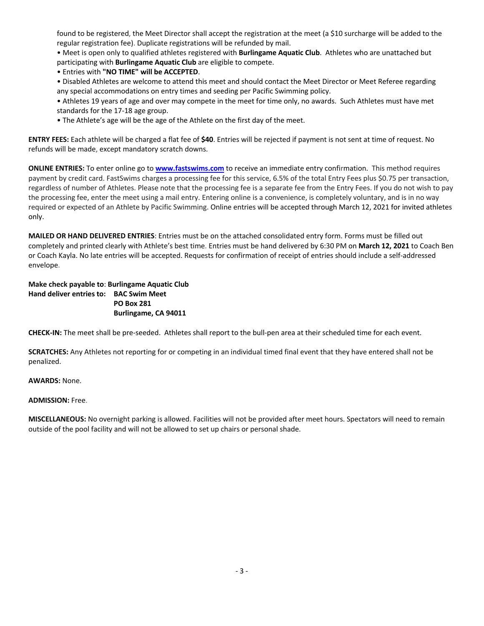found to be registered, the Meet Director shall accept the registration at the meet (a \$10 surcharge will be added to the regular registration fee). Duplicate registrations will be refunded by mail.

• Meet is open only to qualified athletes registered with **Burlingame Aquatic Club**. Athletes who are unattached but participating with **Burlingame Aquatic Club** are eligible to compete.

- Entries with **"NO TIME" will be ACCEPTED**.
- Disabled Athletes are welcome to attend this meet and should contact the Meet Director or Meet Referee regarding any special accommodations on entry times and seeding per Pacific Swimming policy.
- Athletes 19 years of age and over may compete in the meet for time only, no awards. Such Athletes must have met standards for the 17-18 age group.
- The Athlete's age will be the age of the Athlete on the first day of the meet.

**ENTRY FEES:** Each athlete will be charged a flat fee of **\$40**. Entries will be rejected if payment is not sent at time of request. No refunds will be made, except mandatory scratch downs.

**ONLINE ENTRIES:** To enter online go to **www.fastswims.com** to receive an immediate entry confirmation. This method requires payment by credit card. FastSwims charges a processing fee for this service, 6.5% of the total Entry Fees plus \$0.75 per transaction, regardless of number of Athletes. Please note that the processing fee is a separate fee from the Entry Fees. If you do not wish to pay the processing fee, enter the meet using a mail entry. Entering online is a convenience, is completely voluntary, and is in no way required or expected of an Athlete by Pacific Swimming. Online entries will be accepted through March 12, 2021 for invited athletes only.

**MAILED OR HAND DELIVERED ENTRIES**: Entries must be on the attached consolidated entry form. Forms must be filled out completely and printed clearly with Athlete's best time. Entries must be hand delivered by 6:30 PM on **March 12, 2021** to Coach Ben or Coach Kayla. No late entries will be accepted. Requests for confirmation of receipt of entries should include a self-addressed envelope.

**Make check payable to**: **Burlingame Aquatic Club Hand deliver entries to: BAC Swim Meet PO Box 281 Burlingame, CA 94011**

**CHECK-IN:** The meet shall be pre-seeded. Athletes shall report to the bull-pen area at their scheduled time for each event.

**SCRATCHES:** Any Athletes not reporting for or competing in an individual timed final event that they have entered shall not be penalized.

**AWARDS:** None.

#### **ADMISSION:** Free.

**MISCELLANEOUS:** No overnight parking is allowed. Facilities will not be provided after meet hours. Spectators will need to remain outside of the pool facility and will not be allowed to set up chairs or personal shade.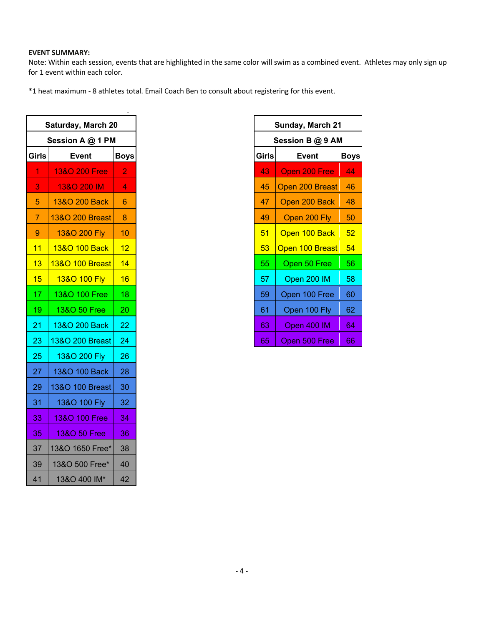# **EVENT SUMMARY:**

Note: Within each session, events that are highlighted in the same color will swim as a combined event. Athletes may only sign up for 1 event within each color.

\*1 heat maximum - 8 athletes total. Email Coach Ben to consult about registering for this event.

| <b>Saturday, March 20</b> |                 |                |  |  |  |  |
|---------------------------|-----------------|----------------|--|--|--|--|
| Session A @ 1 PM          |                 |                |  |  |  |  |
| <b>Girls</b>              | <b>Event</b>    | <b>Boys</b>    |  |  |  |  |
| 1                         | 13&O 200 Free   | $\overline{2}$ |  |  |  |  |
| $\overline{3}$            | 13&O 200 IM     | $\overline{4}$ |  |  |  |  |
| 5                         | 13&O 200 Back   | 6              |  |  |  |  |
| $\overline{7}$            | 13&O 200 Breast | - 8            |  |  |  |  |
| 9                         | 13&O 200 Fly    | 10             |  |  |  |  |
| 11                        | 13&O 100 Back   | 12             |  |  |  |  |
| 13                        | 13&O 100 Breast | 14             |  |  |  |  |
| 15                        | 13&O 100 Fly    | 16             |  |  |  |  |
| 17                        | 13&O 100 Free   | 18             |  |  |  |  |
| 19                        | 13&O 50 Free    | 20             |  |  |  |  |
| $\overline{21}$           | 13&O 200 Back   | 22             |  |  |  |  |
| 23                        | 13&O 200 Breast | 24             |  |  |  |  |
| 25                        | 13&O 200 Fly    | 26             |  |  |  |  |
| 27                        | 13&O 100 Back   | 28             |  |  |  |  |
| 29                        | 13&O 100 Breast | 30             |  |  |  |  |
| 31                        | 13&O 100 Fly    | 32             |  |  |  |  |
| 33                        | 13&O 100 Free   | 34             |  |  |  |  |
| $\overline{35}$           | 13&O 50 Free    | 36             |  |  |  |  |
| 37                        | 13&O 1650 Free* | 38             |  |  |  |  |
| 39                        | 13&O 500 Free*  | 40             |  |  |  |  |
| 41                        | 13&O 400 IM*    | 42             |  |  |  |  |

| <b>Sunday, March 21</b>              |                 |    |  |  |  |  |  |
|--------------------------------------|-----------------|----|--|--|--|--|--|
| Session B @ 9 AM                     |                 |    |  |  |  |  |  |
| <b>Girls</b><br><b>Boys</b><br>Event |                 |    |  |  |  |  |  |
| 43                                   | Open 200 Free   | 44 |  |  |  |  |  |
| 45                                   | Open 200 Breast | 46 |  |  |  |  |  |
| 47                                   | Open 200 Back   | 48 |  |  |  |  |  |
| 49                                   | Open 200 Fly    | 50 |  |  |  |  |  |
| 51                                   | Open 100 Back   | 52 |  |  |  |  |  |
| 53                                   | Open 100 Breast | 54 |  |  |  |  |  |
| 55                                   | Open 50 Free    | 56 |  |  |  |  |  |
| 57                                   | Open 200 IM     | 58 |  |  |  |  |  |
| 59                                   | Open 100 Free   | 60 |  |  |  |  |  |
| 61                                   | Open 100 Fly    | 62 |  |  |  |  |  |
| 63                                   | Open 400 IM     | 64 |  |  |  |  |  |
| 65                                   | Open 500 Free   | 66 |  |  |  |  |  |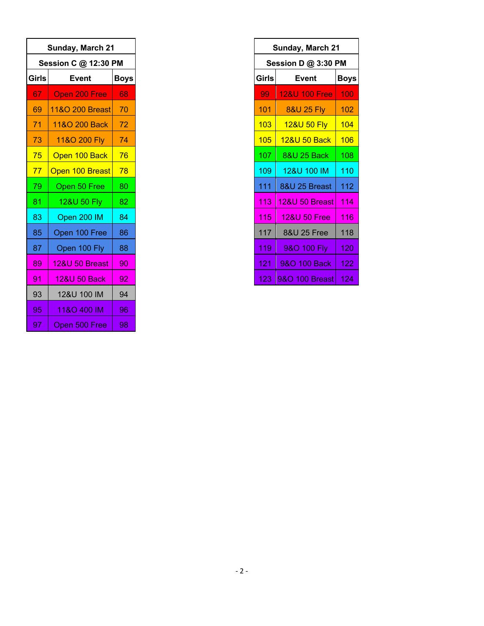| Sunday, March 21     |                           |             |  |  |  |  |  |  |
|----------------------|---------------------------|-------------|--|--|--|--|--|--|
| Session C @ 12:30 PM |                           |             |  |  |  |  |  |  |
| <b>Girls</b>         | <b>Event</b>              | <b>Boys</b> |  |  |  |  |  |  |
| 67                   | Open 200 Free             | 68          |  |  |  |  |  |  |
| 69                   | 11&O 200 Breast           | 70          |  |  |  |  |  |  |
| 71                   | 11&O 200 Back             | 72          |  |  |  |  |  |  |
| 73                   | 11&O 200 Fly              | 74          |  |  |  |  |  |  |
| 75                   | Open 100 Back             | 76          |  |  |  |  |  |  |
| 77                   | Open 100 Breast           | 78          |  |  |  |  |  |  |
| 79                   | Open 50 Free              | 80          |  |  |  |  |  |  |
| 81                   | 12&U 50 Fly               | 82          |  |  |  |  |  |  |
| 83                   | Open 200 IM               | 84          |  |  |  |  |  |  |
| 85                   | Open 100 Free             | 86          |  |  |  |  |  |  |
| 87                   | Open 100 Fly              | 88          |  |  |  |  |  |  |
| 89                   | <b>12&amp;U 50 Breast</b> | 90          |  |  |  |  |  |  |
| 91                   | 12&U 50 Back              | 92          |  |  |  |  |  |  |
| 93                   | 12&U 100 IM               | 94          |  |  |  |  |  |  |
| 95                   | 11&O 400 IM               | 96          |  |  |  |  |  |  |
| 97                   | Open 500 Free             | 98          |  |  |  |  |  |  |

| Sunday, March 21    |                          |     |  |  |  |  |  |
|---------------------|--------------------------|-----|--|--|--|--|--|
| Session D @ 3:30 PM |                          |     |  |  |  |  |  |
| Girls               | Event                    |     |  |  |  |  |  |
| 99                  | <b>12&amp;U 100 Free</b> | 100 |  |  |  |  |  |
| 101                 | <b>8&amp;U 25 Fly</b>    | 102 |  |  |  |  |  |
| 103                 | 12&U 50 Fly              | 104 |  |  |  |  |  |
| 105                 | 12&U 50 Back             | 106 |  |  |  |  |  |
| 107                 | <b>8&amp;U 25 Back</b>   | 108 |  |  |  |  |  |
| 109                 | 12&U 100 IM              | 110 |  |  |  |  |  |
| 111                 | 8&U 25 Breast            | 112 |  |  |  |  |  |
| 113                 | 12&U 50 Breast           | 114 |  |  |  |  |  |
| 115                 | <b>12&amp;U 50 Free</b>  | 116 |  |  |  |  |  |
| 117                 | 8&U 25 Free              | 118 |  |  |  |  |  |
| 119                 | 9&O 100 Fly              | 120 |  |  |  |  |  |
| 121                 | 9&O 100 Back             | 122 |  |  |  |  |  |
| 123                 | 9&O 100 Breast           | 124 |  |  |  |  |  |